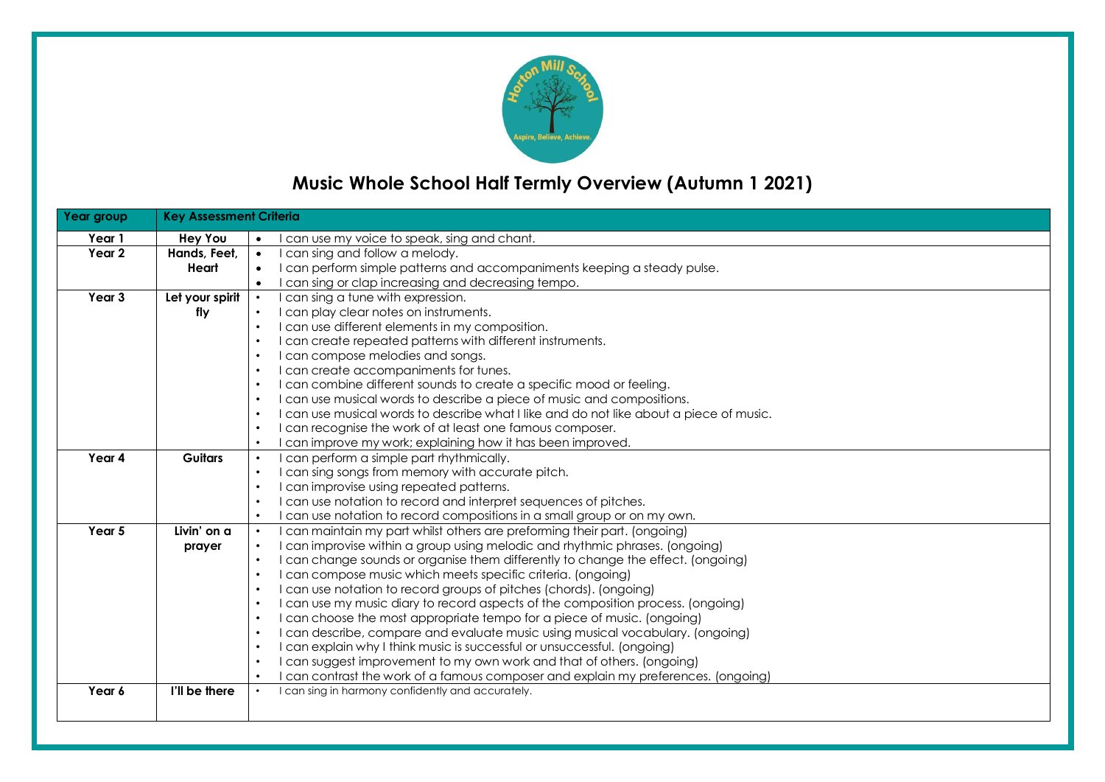

# **Music Whole School Half Termly Overview (Autumn 1 2021)**

| Year group        | <b>Key Assessment Criteria</b> |                                                                                                                                         |
|-------------------|--------------------------------|-----------------------------------------------------------------------------------------------------------------------------------------|
| Year 1            | <b>Hey You</b>                 | can use my voice to speak, sing and chant.                                                                                              |
| Year 2            | Hands, Feet,                   | I can sing and follow a melody.<br>$\bullet$                                                                                            |
|                   | Heart                          | I can perform simple patterns and accompaniments keeping a steady pulse.<br>$\bullet$                                                   |
|                   |                                | I can sing or clap increasing and decreasing tempo.<br>$\bullet$                                                                        |
| Year <sub>3</sub> | Let your spirit                | I can sing a tune with expression.                                                                                                      |
|                   | fly                            | I can play clear notes on instruments.                                                                                                  |
|                   |                                | I can use different elements in my composition.<br>$\bullet$                                                                            |
|                   |                                | I can create repeated patterns with different instruments.<br>$\bullet$                                                                 |
|                   |                                | I can compose melodies and songs.<br>$\bullet$                                                                                          |
|                   |                                | I can create accompaniments for tunes.<br>$\bullet$                                                                                     |
|                   |                                | I can combine different sounds to create a specific mood or feeling.<br>$\bullet$                                                       |
|                   |                                | I can use musical words to describe a piece of music and compositions.<br>$\bullet$                                                     |
|                   |                                | I can use musical words to describe what I like and do not like about a piece of music.<br>$\bullet$                                    |
|                   |                                | I can recognise the work of at least one famous composer.<br>$\bullet$                                                                  |
|                   |                                | I can improve my work; explaining how it has been improved.<br>$\bullet$                                                                |
| Year 4            | <b>Guitars</b>                 | can perform a simple part rhythmically.                                                                                                 |
|                   |                                | I can sing songs from memory with accurate pitch.<br>$\bullet$                                                                          |
|                   |                                | I can improvise using repeated patterns.<br>$\bullet$                                                                                   |
|                   |                                | I can use notation to record and interpret sequences of pitches.<br>$\bullet$                                                           |
|                   |                                | I can use notation to record compositions in a small group or on my own.<br>$\bullet$                                                   |
| Year 5            | Livin' on a                    | I can maintain my part whilst others are preforming their part. (ongoing)<br>$\bullet$                                                  |
|                   | prayer                         | I can improvise within a group using melodic and rhythmic phrases. (ongoing)<br>$\bullet$                                               |
|                   |                                | I can change sounds or organise them differently to change the effect. (ongoing)<br>$\bullet$                                           |
|                   |                                | I can compose music which meets specific criteria. (ongoing)<br>$\bullet$                                                               |
|                   |                                | I can use notation to record groups of pitches (chords). (ongoing)<br>$\bullet$                                                         |
|                   |                                | I can use my music diary to record aspects of the composition process. (ongoing)<br>$\bullet$                                           |
|                   |                                | I can choose the most appropriate tempo for a piece of music. (ongoing)<br>$\bullet$                                                    |
|                   |                                | I can describe, compare and evaluate music using musical vocabulary. (ongoing)<br>$\bullet$                                             |
|                   |                                | I can explain why I think music is successful or unsuccessful. (ongoing)<br>$\bullet$                                                   |
|                   |                                | I can suggest improvement to my own work and that of others. (ongoing)<br>$\bullet$<br>$\bullet$                                        |
|                   | I'll be there                  | I can contrast the work of a famous composer and explain my preferences. (ongoing)<br>I can sing in harmony confidently and accurately. |
| Year 6            |                                |                                                                                                                                         |
|                   |                                |                                                                                                                                         |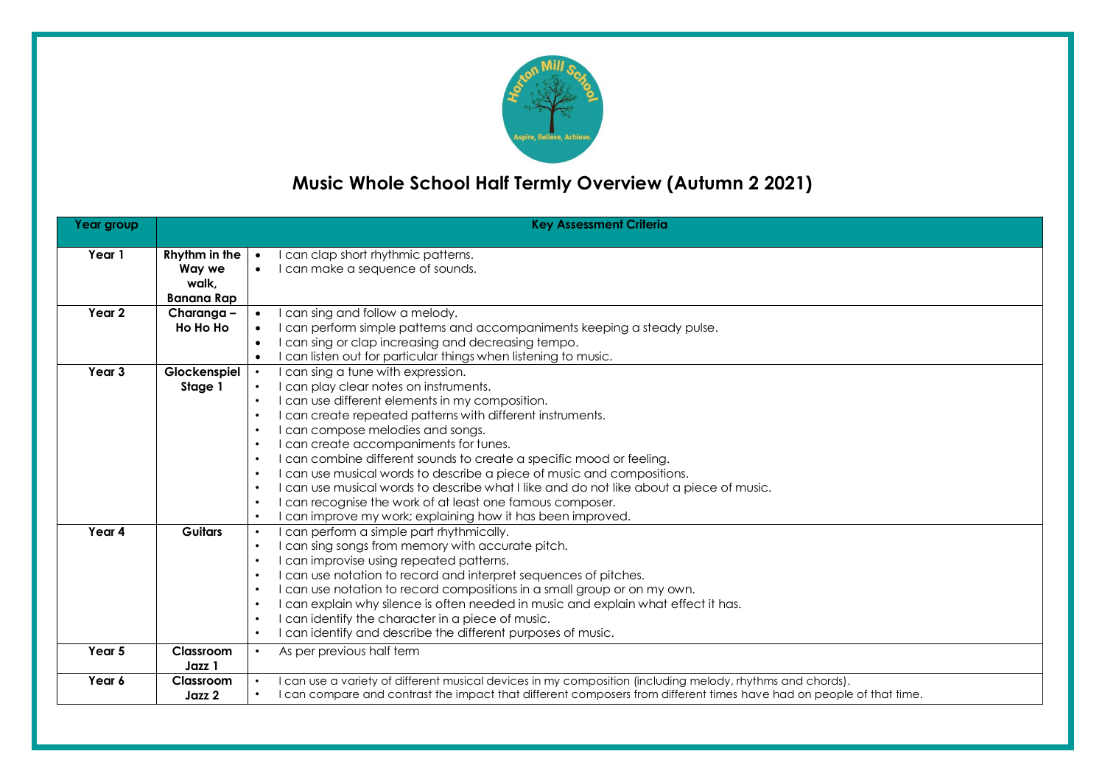

# **Music Whole School Half Termly Overview (Autumn 2 2021)**

| Year group        |                                                       | <b>Key Assessment Criteria</b>                                                                                                                                                                                                                                                                                                                                                                                                                                                                                                                                                                                                                                                                                                                                         |
|-------------------|-------------------------------------------------------|------------------------------------------------------------------------------------------------------------------------------------------------------------------------------------------------------------------------------------------------------------------------------------------------------------------------------------------------------------------------------------------------------------------------------------------------------------------------------------------------------------------------------------------------------------------------------------------------------------------------------------------------------------------------------------------------------------------------------------------------------------------------|
| Year 1            | Rhythm in the<br>Way we<br>walk.<br><b>Banana Rap</b> | can clap short rhythmic patterns.<br>$\bullet$<br>I can make a sequence of sounds.<br>$\bullet$                                                                                                                                                                                                                                                                                                                                                                                                                                                                                                                                                                                                                                                                        |
| Year <sub>2</sub> | Charanga -<br>Ho Ho Ho                                | can sing and follow a melody.<br>I can perform simple patterns and accompaniments keeping a steady pulse.<br>I can sing or clap increasing and decreasing tempo.<br>$\bullet$<br>I can listen out for particular things when listening to music.<br>$\bullet$                                                                                                                                                                                                                                                                                                                                                                                                                                                                                                          |
| Year <sub>3</sub> | Glockenspiel<br>Stage 1                               | can sing a tune with expression.<br>I can play clear notes on instruments.<br>I can use different elements in my composition.<br>$\bullet$<br>I can create repeated patterns with different instruments.<br>$\bullet$<br>I can compose melodies and songs.<br>$\bullet$<br>I can create accompaniments for tunes.<br>$\bullet$<br>I can combine different sounds to create a specific mood or feeling.<br>$\bullet$<br>I can use musical words to describe a piece of music and compositions.<br>$\bullet$<br>I can use musical words to describe what I like and do not like about a piece of music.<br>$\bullet$<br>I can recognise the work of at least one famous composer.<br>$\bullet$<br>can improve my work; explaining how it has been improved.<br>$\bullet$ |
| Year 4            | <b>Guitars</b>                                        | can perform a simple part rhythmically.<br>can sing songs from memory with accurate pitch.<br>$\bullet$<br>can improvise using repeated patterns.<br>$\bullet$<br>I can use notation to record and interpret sequences of pitches.<br>$\bullet$<br>I can use notation to record compositions in a small group or on my own.<br>$\bullet$<br>I can explain why silence is often needed in music and explain what effect it has.<br>$\bullet$<br>can identify the character in a piece of music.<br>$\bullet$<br>can identify and describe the different purposes of music.<br>$\bullet$                                                                                                                                                                                 |
| Year 5            | Classroom<br>Jazz 1                                   | As per previous half term<br>$\bullet$                                                                                                                                                                                                                                                                                                                                                                                                                                                                                                                                                                                                                                                                                                                                 |
| Year 6            | Classroom<br>Jazz 2                                   | can use a variety of different musical devices in my composition (including melody, rhythms and chords).<br>I can compare and contrast the impact that different composers from different times have had on people of that time.                                                                                                                                                                                                                                                                                                                                                                                                                                                                                                                                       |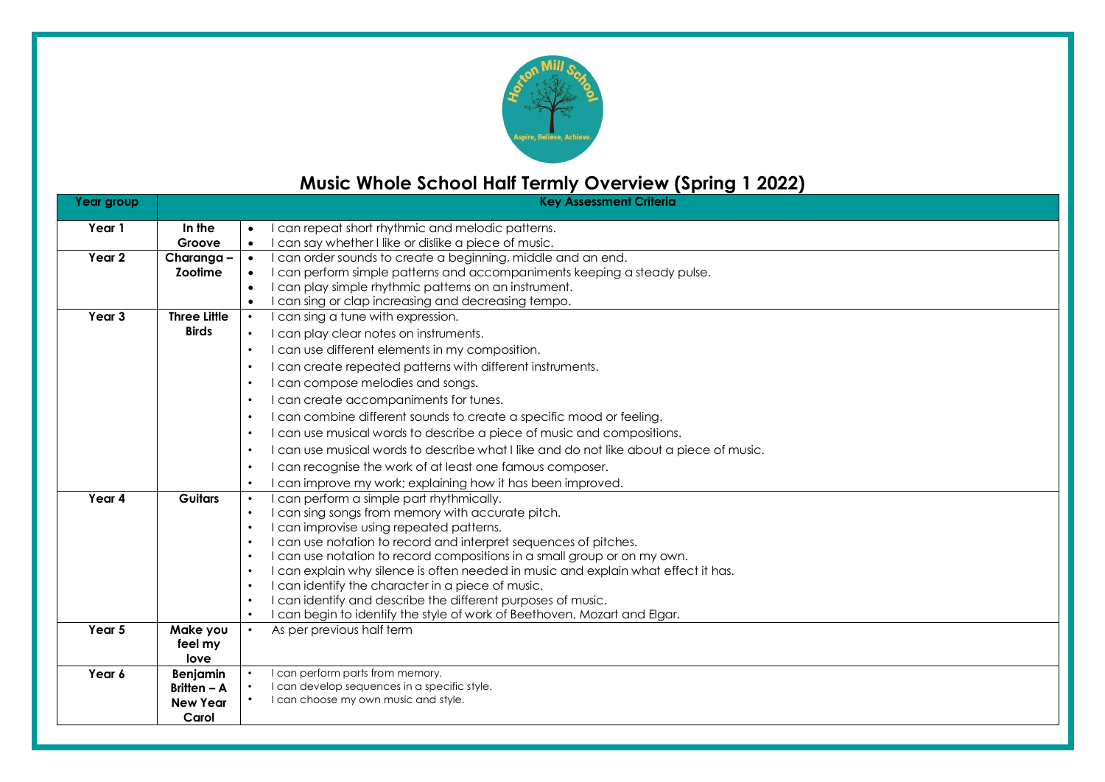

## **Music Whole School Half Termly Overview (Spring 1 2022)**

| Year group |                     | <b>Key Assessment Criteria</b>                                                                                                                                    |
|------------|---------------------|-------------------------------------------------------------------------------------------------------------------------------------------------------------------|
| Year 1     | In the              | can repeat short rhythmic and melodic patterns.<br>$\bullet$                                                                                                      |
|            | Groove              | can say whether I like or dislike a piece of music.<br>$\bullet$                                                                                                  |
| Year 2     | Charanga-           | can order sounds to create a beginning, middle and an end.<br>$\bullet$                                                                                           |
|            | Zootime             | can perform simple patterns and accompaniments keeping a steady pulse.<br>$\bullet$                                                                               |
|            |                     | can play simple rhythmic patterns on an instrument.<br>$\bullet$                                                                                                  |
|            | <b>Three Little</b> | can sing or clap increasing and decreasing tempo.<br>$\bullet$<br>$\bullet$                                                                                       |
| Year 3     | <b>Birds</b>        | can sing a tune with expression.                                                                                                                                  |
|            |                     | can play clear notes on instruments.<br>$\bullet$                                                                                                                 |
|            |                     | I can use different elements in my composition.<br>$\bullet$                                                                                                      |
|            |                     | can create repeated patterns with different instruments.<br>$\bullet$                                                                                             |
|            |                     | can compose melodies and songs.<br>$\bullet$                                                                                                                      |
|            |                     | can create accompaniments for tunes.<br>$\bullet$                                                                                                                 |
|            |                     | can combine different sounds to create a specific mood or feeling.<br>$\bullet$                                                                                   |
|            |                     | can use musical words to describe a piece of music and compositions.<br>$\bullet$                                                                                 |
|            |                     | can use musical words to describe what I like and do not like about a piece of music.<br>$\bullet$                                                                |
|            |                     | can recognise the work of at least one famous composer.<br>٠                                                                                                      |
|            |                     | can improve my work; explaining how it has been improved.<br>$\bullet$                                                                                            |
| Year 4     | <b>Guitars</b>      | can perform a simple part rhythmically.<br>$\bullet$                                                                                                              |
|            |                     | I can sing songs from memory with accurate pitch.<br>$\bullet$                                                                                                    |
|            |                     | I can improvise using repeated patterns.<br>$\bullet$                                                                                                             |
|            |                     | I can use notation to record and interpret sequences of pitches.<br>$\bullet$                                                                                     |
|            |                     | I can use notation to record compositions in a small group or on my own.<br>$\bullet$                                                                             |
|            |                     | I can explain why silence is often needed in music and explain what effect it has.<br>$\bullet$                                                                   |
|            |                     | I can identify the character in a piece of music.<br>$\bullet$                                                                                                    |
|            |                     | I can identify and describe the different purposes of music.<br>$\bullet$<br>can begin to identify the style of work of Beethoven, Mozart and Elgar.<br>$\bullet$ |
| Year 5     | Make you            | As per previous half term<br>$\bullet$                                                                                                                            |
|            | feel my             |                                                                                                                                                                   |
|            | love                |                                                                                                                                                                   |
| Year 6     | Benjamin            | I can perform parts from memory.                                                                                                                                  |
|            | Britten $-$ A       | I can develop sequences in a specific style.                                                                                                                      |
|            | <b>New Year</b>     | I can choose my own music and style.                                                                                                                              |
|            | Carol               |                                                                                                                                                                   |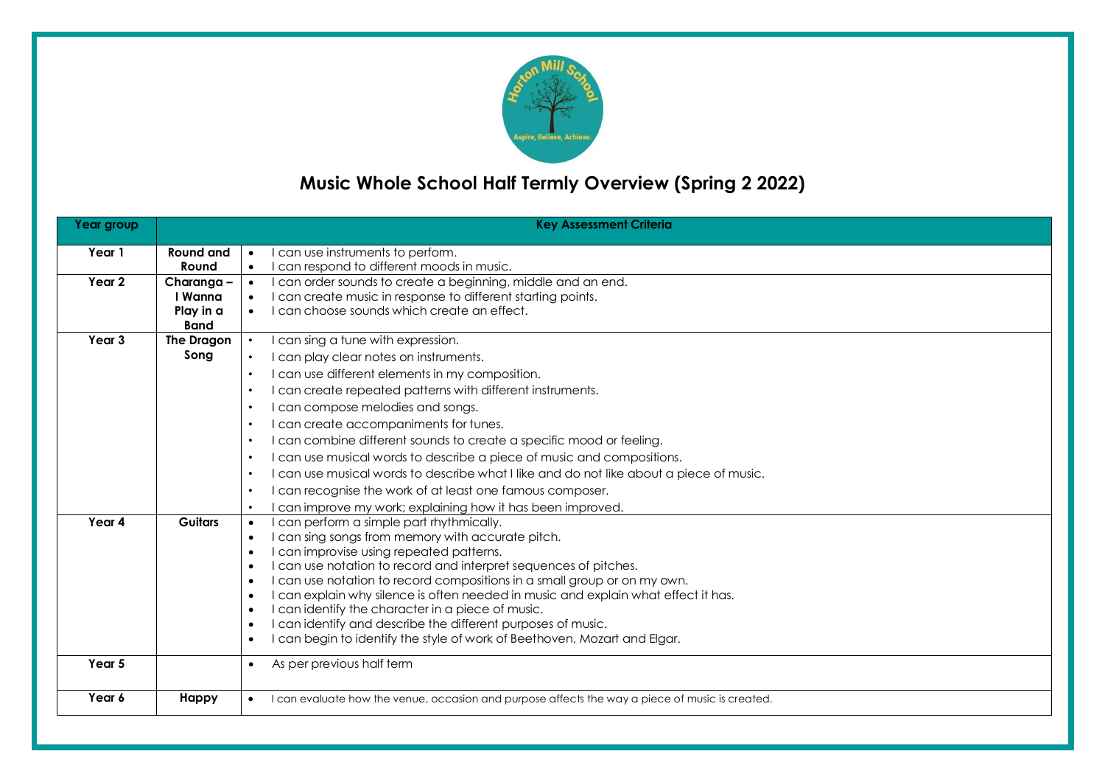

# **Music Whole School Half Termly Overview (Spring 2 2022)**

| Year group        |                          | <b>Key Assessment Criteria</b>                                                                                                                                                           |
|-------------------|--------------------------|------------------------------------------------------------------------------------------------------------------------------------------------------------------------------------------|
| Year 1            | <b>Round and</b>         | I can use instruments to perform.<br>$\bullet$                                                                                                                                           |
|                   | Round                    | I can respond to different moods in music.<br>$\bullet$                                                                                                                                  |
| Year 2            | Charanga-                | I can order sounds to create a beginning, middle and an end.<br>$\bullet$                                                                                                                |
|                   | I Wanna                  | I can create music in response to different starting points.<br>$\bullet$                                                                                                                |
|                   | Play in a<br><b>Band</b> | I can choose sounds which create an effect.                                                                                                                                              |
| Year <sub>3</sub> | The Dragon               | I can sing a tune with expression.<br>$\bullet$                                                                                                                                          |
|                   | Song                     | I can play clear notes on instruments.<br>$\bullet$                                                                                                                                      |
|                   |                          | I can use different elements in my composition.<br>$\bullet$                                                                                                                             |
|                   |                          | I can create repeated patterns with different instruments.<br>$\bullet$                                                                                                                  |
|                   |                          | I can compose melodies and songs.                                                                                                                                                        |
|                   |                          | I can create accompaniments for tunes.<br>$\bullet$                                                                                                                                      |
|                   |                          | I can combine different sounds to create a specific mood or feeling.<br>$\bullet$                                                                                                        |
|                   |                          | I can use musical words to describe a piece of music and compositions.<br>$\bullet$                                                                                                      |
|                   |                          | I can use musical words to describe what I like and do not like about a piece of music.<br>$\bullet$                                                                                     |
|                   |                          | I can recognise the work of at least one famous composer.<br>$\bullet$                                                                                                                   |
|                   |                          | can improve my work; explaining how it has been improved.<br>$\bullet$                                                                                                                   |
| Year 4            | <b>Guitars</b>           | I can perform a simple part rhythmically.<br>$\bullet$                                                                                                                                   |
|                   |                          | I can sing songs from memory with accurate pitch.<br>$\bullet$                                                                                                                           |
|                   |                          | I can improvise using repeated patterns.<br>$\bullet$                                                                                                                                    |
|                   |                          | I can use notation to record and interpret sequences of pitches.<br>$\bullet$                                                                                                            |
|                   |                          | I can use notation to record compositions in a small group or on my own.<br>$\bullet$<br>I can explain why silence is often needed in music and explain what effect it has.<br>$\bullet$ |
|                   |                          | I can identify the character in a piece of music.<br>$\bullet$                                                                                                                           |
|                   |                          | I can identify and describe the different purposes of music.<br>$\bullet$                                                                                                                |
|                   |                          | I can begin to identify the style of work of Beethoven, Mozart and Elgar.<br>$\bullet$                                                                                                   |
| Year 5            |                          | As per previous half term<br>$\bullet$                                                                                                                                                   |
| Year 6            | Happy                    | I can evaluate how the venue, occasion and purpose affects the way a piece of music is created.                                                                                          |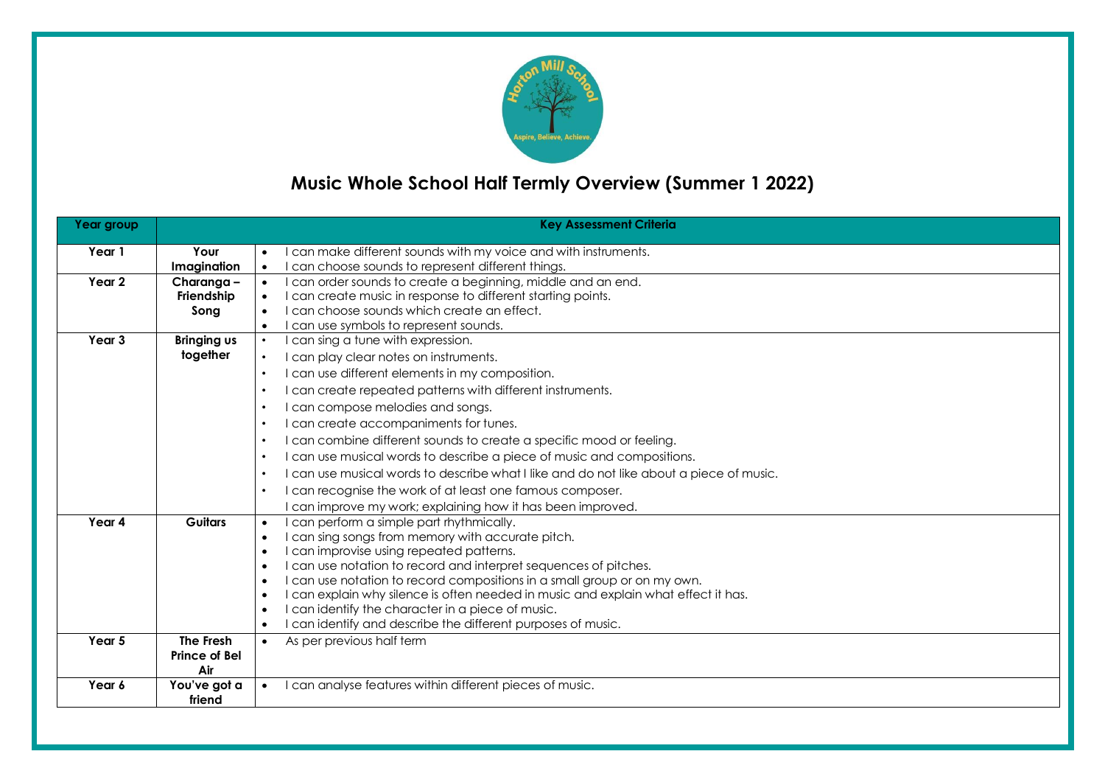

# **Music Whole School Half Termly Overview (Summer 1 2022)**

| Year group        |                                | <b>Key Assessment Criteria</b>                                                                       |
|-------------------|--------------------------------|------------------------------------------------------------------------------------------------------|
| Year 1            | Your                           | I can make different sounds with my voice and with instruments.                                      |
|                   | Imagination                    | I can choose sounds to represent different things.<br>$\bullet$                                      |
| Year 2            | Charanga -                     | I can order sounds to create a beginning, middle and an end.<br>$\bullet$                            |
|                   | Friendship                     | I can create music in response to different starting points.<br>$\bullet$                            |
|                   | Song                           | I can choose sounds which create an effect.<br>$\bullet$                                             |
| Year <sub>3</sub> |                                | I can use symbols to represent sounds.<br>$\bullet$<br>$\bullet$                                     |
|                   | <b>Bringing us</b><br>together | I can sing a tune with expression.                                                                   |
|                   |                                | I can play clear notes on instruments.<br>$\bullet$                                                  |
|                   |                                | I can use different elements in my composition.<br>$\bullet$                                         |
|                   |                                | I can create repeated patterns with different instruments.<br>$\bullet$                              |
|                   |                                | I can compose melodies and songs.<br>$\bullet$                                                       |
|                   |                                | I can create accompaniments for tunes.<br>$\bullet$                                                  |
|                   |                                | I can combine different sounds to create a specific mood or feeling.<br>$\bullet$                    |
|                   |                                | I can use musical words to describe a piece of music and compositions.<br>$\bullet$                  |
|                   |                                | I can use musical words to describe what I like and do not like about a piece of music.<br>$\bullet$ |
|                   |                                | I can recognise the work of at least one famous composer.<br>$\bullet$                               |
|                   |                                | I can improve my work; explaining how it has been improved.                                          |
| Year 4            | <b>Guitars</b>                 | I can perform a simple part rhythmically.<br>$\bullet$                                               |
|                   |                                | I can sing songs from memory with accurate pitch.<br>$\bullet$                                       |
|                   |                                | I can improvise using repeated patterns.<br>$\bullet$                                                |
|                   |                                | I can use notation to record and interpret sequences of pitches.<br>$\bullet$                        |
|                   |                                | I can use notation to record compositions in a small group or on my own.<br>$\bullet$                |
|                   |                                | I can explain why silence is often needed in music and explain what effect it has.<br>$\bullet$      |
|                   |                                | I can identify the character in a piece of music.<br>$\bullet$                                       |
|                   |                                | I can identify and describe the different purposes of music.<br>$\bullet$                            |
| Year 5            | The Fresh                      | As per previous half term<br>$\bullet$                                                               |
|                   | Prince of Bel<br>Air           |                                                                                                      |
| Year 6            | You've got a                   | I can analyse features within different pieces of music.                                             |
|                   | friend                         |                                                                                                      |
|                   |                                |                                                                                                      |